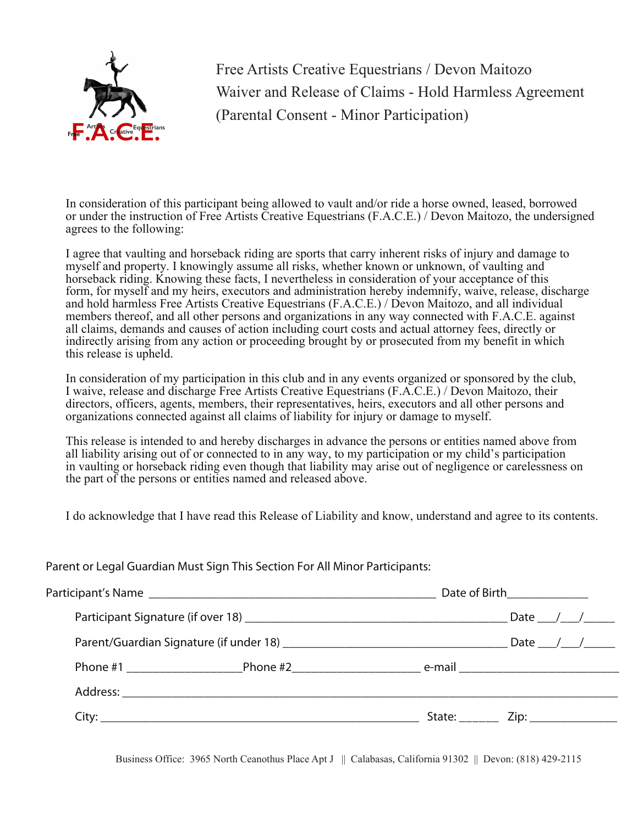

Free Artists Creative Equestrians / Devon Maitozo Waiver and Release of Claims - Hold Harmless Agreement (Parental Consent - Minor Participation)

In consideration of this participant being allowed to vault and/or ride a horse owned, leased, borrowed or under the instruction of Free Artists Creative Equestrians (F.A.C.E.) / Devon Maitozo, the undersigned agrees to the following:

I agree that vaulting and horseback riding are sports that carry inherent risks of injury and damage to myself and property. I knowingly assume all risks, whether known or unknown, of vaulting and horseback riding. Knowing these facts, I nevertheless in consideration of your acceptance of this form, for myself and my heirs, executors and administration hereby indemnify, waive, release, discharge and hold harmless Free Artists Creative Equestrians (F.A.C.E.) / Devon Maitozo, and all individual members thereof, and all other persons and organizations in any way connected with F.A.C.E. against all claims, demands and causes of action including court costs and actual attorney fees, directly or indirectly arising from any action or proceeding brought by or prosecuted from my benefit in which this release is upheld.

In consideration of my participation in this club and in any events organized or sponsored by the club, I waive, release and discharge Free Artists Creative Equestrians (F.A.C.E.) / Devon Maitozo, their directors, officers, agents, members, their representatives, heirs, executors and all other persons and organizations connected against all claims of liability for injury or damage to myself.

This release is intended to and hereby discharges in advance the persons or entities named above from all liability arising out of or connected to in any way, to my participation or my child's participation in vaulting or horseback riding even though that liability may arise out of negligence or carelessness on the part of the persons or entities named and released above.

I do acknowledge that I have read this Release of Liability and know, understand and agree to its contents.

Parent or Legal Guardian Must Sign This Section For All Minor Participants:

|  |  | Date of Birth_______________ |                                                |
|--|--|------------------------------|------------------------------------------------|
|  |  |                              |                                                |
|  |  |                              |                                                |
|  |  |                              |                                                |
|  |  |                              |                                                |
|  |  |                              | State: <u>__________</u> Zip: ________________ |

Business Office: 3965 North Ceanothus Place Apt J || Calabasas, California 91302 || Devon: (818) 429-2115